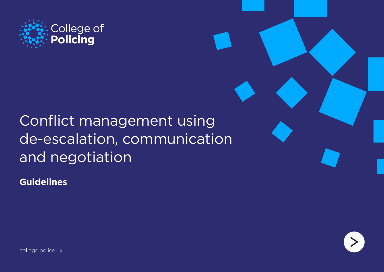

# Conflict management using de-escalation, communication and negotiation

**Guidelines**



[college.police.uk](http://www.college.police.uk/)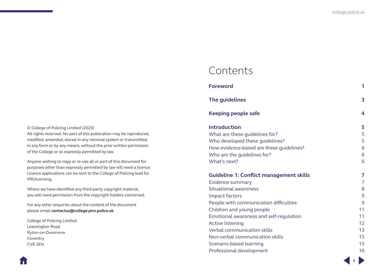**ii**

# Contents

| <b>Foreword</b>                                       | 1               |
|-------------------------------------------------------|-----------------|
| The guidelines                                        | 3               |
| <b>Keeping people safe</b>                            | 4               |
| <b>Introduction</b><br>What are these guidelines for? | 5<br>5          |
| Who developed these quidelines?                       | 5               |
| How evidence-based are these guidelines?              | 6               |
| Who are the guidelines for?                           | 6               |
| What's next?                                          | 6               |
|                                                       |                 |
| <b>Guideline 1: Conflict management skills</b>        | 7               |
| Evidence summary                                      | 7               |
| Situational awareness                                 | 8               |
| <b>Impact factors</b>                                 | 9               |
| People with communication difficulties                | 9               |
| Children and young people                             | 11              |
| Emotional awareness and self-regulation               | 11              |
| <b>Active listening</b>                               | 12 <sup>°</sup> |
| Verbal communication skills                           | 13              |
| Non-verbal communication skills                       | 15              |
| Scenario-based learning                               | 15              |

#### © College of Policing Limited (2020)

All rights reserved. No part of this publication may be reproduced, modified, amended, stored in any retrieval system or transmitted, in any form or by any means, without the prior written permission of the College or as expressly permitted by law.

Anyone wishing to copy or re-use all or part of this document for purposes other than expressly permitted by law will need a licence. Licence applications can be sent to the College of Policing lead for IPR/licensing.

Where we have identified any third-party copyright material, you will need permission from the copyright holders concerned.

For any other enquiries about the content of the document please email **[contactus@college.pnn.police.uk](mailto:contactus%40college.pnn.police.uk?subject=Conflict%20management)**

College of Policing Limited Leamington Road Ryton-on-Dunsmore Coventry CV8 3EN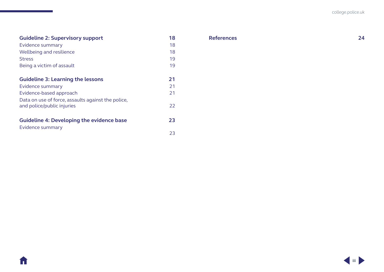## **[Guideline 2: Supervisory support](#page-20-0) 18**

A

| Evidence summary                                   | 18 |
|----------------------------------------------------|----|
| Wellbeing and resilience                           | 18 |
| <b>Stress</b>                                      | 19 |
| Being a victim of assault                          | 19 |
|                                                    |    |
| <b>Guideline 3: Learning the lessons</b>           | 21 |
| Evidence summary                                   | 21 |
| Evidence-based approach                            | 21 |
| Data on use of force, assaults against the police, |    |
| and police/public injuries                         | 22 |
|                                                    |    |
| <b>Guideline 4: Developing the evidence base</b>   | 23 |
| Evidence summary                                   |    |

**[References](#page-26-0) 24**

[23](#page-25-0)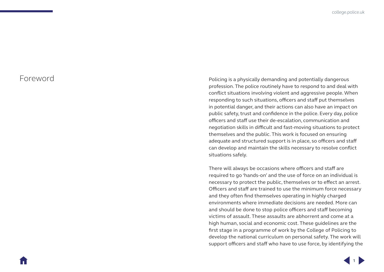Foreword **Policing** is a physically demanding and potentially dangerous profession. The police routinely have to respond to and deal with conflict situations involving violent and aggressive people. When responding to such situations, officers and staff put themselves in potential danger, and their actions can also have an impact on public safety, trust and confidence in the police. Every day, police officers and staff use their de-escalation, communication and negotiation skills in difficult and fast-moving situations to protect themselves and the public. This work is focused on ensuring adequate and structured support is in place, so officers and staff can develop and maintain the skills necessary to resolve conflict situations safely.

> There will always be occasions where officers and staff are required to go 'hands-on' and the use of force on an individual is necessary to protect the public, themselves or to effect an arrest. Officers and staff are trained to use the minimum force necessary and they often find themselves operating in highly charged environments where immediate decisions are needed. More can and should be done to stop police officers and staff becoming victims of assault. These assaults are abhorrent and come at a high human, social and economic cost. These guidelines are the first stage in a programme of work by the College of Policing to develop the national curriculum on personal safety. The work will support officers and staff who have to use force, by identifying the

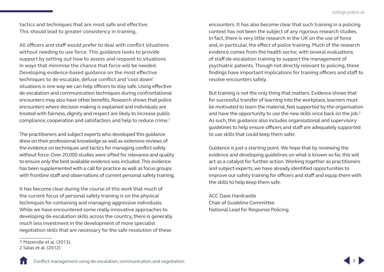tactics and techniques that are most safe and effective. This should lead to greater consistency in training.

All officers and staff would prefer to deal with conflict situations without needing to use force. This guidance looks to provide support by setting out how to assess and respond to situations in ways that minimise the chance that force will be needed. Developing evidence-based guidance on the most effective techniques to de-escalate, defuse conflict and 'cool down' situations is one way we can help officers to stay safe. Using effective de-escalation and communication techniques during confrontational encounters may also have other benefits. Research shows that police encounters where decision making is explained and individuals are treated with fairness, dignity and respect are likely to increase public compliance, cooperation and satisfaction, and help to reduce crime.1

The practitioners and subject experts who developed this guidance drew on their professional knowledge as well as extensive reviews of the evidence on techniques and tactics for managing conflict safely without force. Over 20,000 studies were sifted for relevance and quality to ensure only the best available evidence was included. This evidence has been supplemented with a call for practice as well as focus groups with frontline staff and observations of current personal safety training.

It has become clear during the course of this work that much of the current focus of personal safety training is on the physical techniques for containing and managing aggressive individuals. While we have encountered some really innovative approaches to developing de-escalation skills across the country, there is generally much less investment in the development of more specialist negotiation skills that are necessary for the safe resolution of these

encounters. It has also become clear that such training in a policing context has not been the subject of any rigorous research studies. In fact, there is very little research in the UK on the use of force and, in particular, the effect of police training. Much of the research evidence comes from the health sector, with several evaluations of staff de-escalation training to support the management of psychiatric patients. Though not directly relevant to policing, these findings have important implications for training officers and staff to resolve encounters safely.

But training is not the only thing that matters. Evidence shows that for successful transfer of learning into the workplace, learners must be motivated to learn the material, feel supported by the organisation and have the opportunity to use the new skills once back on the job.<sup>2</sup> As such, this guidance also includes organisational and supervisory guidelines to help ensure officers and staff are adequately supported to use skills that could keep them safer.

Guidance is just a starting point. We hope that by reviewing the evidence and developing guidelines on what is known so far, this will act as a catalyst for further action. Working together as practitioners and subject experts, we have already identified opportunities to improve our safety training for officers and staff and equip them with the skills to help keep them safe.

ACC Dave Hardcastle Chair of Guideline Committee National Lead for Response Policing



<sup>1</sup> Mazerolle et al. (2013).

<sup>2</sup> Salas et al. (2012)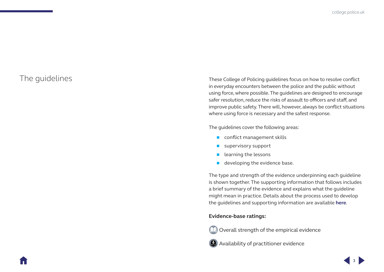<span id="page-5-0"></span>The guidelines These College of Policing guidelines focus on how to resolve conflict in everyday encounters between the police and the public without using force, where possible. The guidelines are designed to encourage safer resolution, reduce the risks of assault to officers and staff, and improve public safety. There will, however, always be conflict situations where using force is necessary and the safest response.

The guidelines cover the following areas:

- conflict management skills
- supervisory support
- $\blacksquare$  learning the lessons
- developing the evidence base.

The type and strength of the evidence underpinning each guideline is shown together. The supporting information that follows includes a brief summary of the evidence and explains what the guideline might mean in practice. Details about the process used to develop the guidelines and supporting information are available **here**.

#### **Evidence-base ratings:**



Overall strength of the empirical evidence

**Availability of practitioner evidence**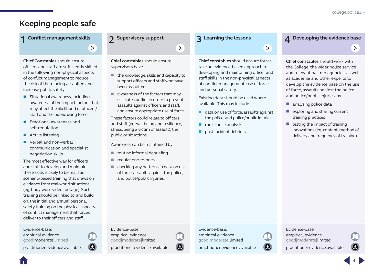$\geq$ 

## <span id="page-6-0"></span>**Keeping people safe**

# **1 Conflict management skills**

**Chief Constables** should ensure [officers and staff are sufficiently skilled](#page-9-1)  in the following non-physical aspects of conflict management to reduce the risk of them being assaulted and increase public safety:

- $\blacksquare$  Situational awareness, including awareness of the impact factors that may affect the likelihood of officers/ staff and the public using force.
- **Emotional awareness and** self-regulation.
- **Active listening.**
- Verbal and non-verbal communication and specialist negotiation skills.

The most effective way for officers and staff to develop and maintain these skills is likely to be realistic scenario-based training that draws on evidence from real-world situations (eg, body-worn video footage). Such training should be linked to, and build on, the initial and annual personal safety training on the physical aspects of conflict management that forces deliver to their officers and staff.

Evidence-base: empirical evidence good|moderate|limited

practitioner evidence available

#### **2 Supervisory support**

**Chief constables** should ensure supervisors have:

 $\blacksquare$  the knowledge, skills and capacity to support officers and staff who have been assaulted

 $\rightarrow$ 

 $\blacksquare$  awareness of the factors that may escalate conflict in order to prevent assaults against officers and staff, and ensure appropriate use of force.

These factors could relate to officers [and staff \(eg, wellbeing and resilience,](#page-20-1)  stress, being a victim of assault), the public or situations.

Awareness can be maintained by:

- $\blacksquare$  routine informal debriefing
- regular one-to-ones

Evidence-base: empirical evidence good|moderate|limited

practitioner evidence available

 $\blacksquare$  checking any patterns in data on use of force, assaults against the police, and police/public injuries.

#### **3 Learning the lessons**

**Chief constables** should ensure forces take an evidence-based approach to [developing and maintaining officer and](#page-23-1)  staff skills in the non-physical aspects of conflict management, use of force and personal safety.

 $\rightarrow$ 

Existing data should be used where available. This may include:

- $\blacksquare$  data on use of force, assaults against the police, and police/public injuries
- **P** root-cause analysis
- post-incident debriefs.

#### **4 [Developing the evidence base](#page-25-1)**

**Chief constables** should work with the College, the wider police service and relevant partner agencies, as well as academia and other experts to develop the evidence base on the use of force, assaults against the police and police/public injuries, by:

- analysing police data
- $\blacksquare$  exploring and sharing current training practices
- $\blacksquare$  testing the impact of training innovations (eg, content, method of delivery and frequency of training).

#### Evidence-base:

empirical evidence good|moderate|limited

practitioner evidence available

### Evidence-base:

empirical evidence good|moderate|limited

practitioner evidence available

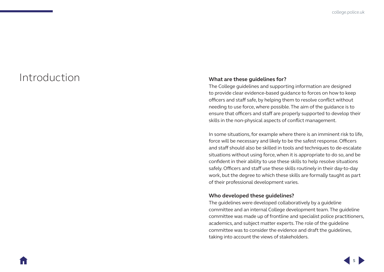# <span id="page-7-0"></span>Introduction **What are these guidelines for?**

The College guidelines and supporting information are designed to provide clear evidence-based guidance to forces on how to keep officers and staff safe, by helping them to resolve conflict without needing to use force, where possible. The aim of the guidance is to ensure that officers and staff are properly supported to develop their skills in the non-physical aspects of conflict management.

In some situations, for example where there is an imminent risk to life, force will be necessary and likely to be the safest response. Officers and staff should also be skilled in tools and techniques to de-escalate situations without using force, when it is appropriate to do so, and be confident in their ability to use these skills to help resolve situations safely. Officers and staff use these skills routinely in their day-to-day work, but the degree to which these skills are formally taught as part of their professional development varies.

#### **Who developed these guidelines?**

The guidelines were developed collaboratively by a guideline committee and an internal College development team. The guideline committee was made up of frontline and specialist police practitioners, academics, and subject matter experts. The role of the guideline committee was to consider the evidence and draft the guidelines, taking into account the views of stakeholders.

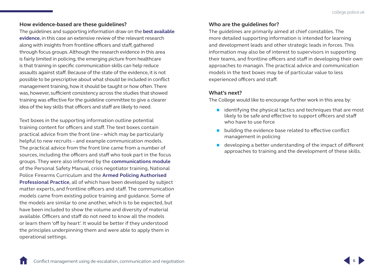#### <span id="page-8-0"></span>**How evidence-based are these guidelines?**

The guidelines and supporting information draw on the **[best available](https://whatworks.college.police.uk/About/Pages/What-is-EBP.aspx)  [evidence](https://whatworks.college.police.uk/About/Pages/What-is-EBP.aspx)**, in this case an extensive review of the relevant research along with insights from frontline officers and staff, gathered through focus groups. Although the research evidence in this area is fairly limited in policing, the emerging picture from healthcare is that training in specific communication skills can help reduce assaults against staff. Because of the state of the evidence, it is not possible to be prescriptive about what should be included in conflict management training, how it should be taught or how often. There was, however, sufficient consistency across the studies that showed training was effective for the guideline committee to give a clearer idea of the key skills that officers and staff are likely to need.

Text boxes in the supporting information outline potential training content for officers and staff. The text boxes contain practical advice from the front line – which may be particularly helpful to new recruits – and example communication models. The practical advice from the front line came from a number of sources, including the officers and staff who took part in the focus groups. They were also informed by the **[communications module](https://www.mle.ncalt.pnn.police.uk/CourseContent/29500/PSM_MOD_06_COMMUNICATION.pdf)** of the Personal Safety Manual, crisis negotiator training, National Police Firearms Curriculum and the **[Armed Policing Authorised](https://www.app.college.police.uk/app-content/armed-policing/)  [Professional Practice](https://www.app.college.police.uk/app-content/armed-policing/)**, all of which have been developed by subject matter experts, and frontline officers and staff. The communication models came from existing police training and guidance. Some of the models are similar to one another, which is to be expected, but have been included to show the volume and diversity of material available. Officers and staff do not need to know all the models or learn them 'off by heart'. It would be better if they understood the principles underpinning them and were able to apply them in operational settings.

#### **Who are the guidelines for?**

The guidelines are primarily aimed at chief constables. The more detailed supporting information is intended for learning and development leads and other strategic leads in forces. This information may also be of interest to supervisors in supporting their teams, and frontline officers and staff in developing their own approaches to managin. The practical advice and communication models in the text boxes may be of particular value to less experienced officers and staff.

#### **What's next?**

The College would like to encourage further work in this area by:

- $\blacksquare$  identifying the physical tactics and techniques that are most likely to be safe and effective to support officers and staff who have to use force
- building the evidence base related to effective conflict management in policing
- $\blacksquare$  developing a better understanding of the impact of different approaches to training and the development of these skills.

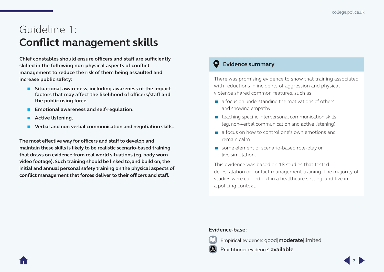# <span id="page-9-1"></span><span id="page-9-0"></span>Guideline 1: **Conflict management skills**

**Chief constables should ensure officers and staff are sufficiently skilled in the following non-physical aspects of conflict management to reduce the risk of them being assaulted and increase public safety:**

- Situational awareness, including awareness of the impact **factors that may affect the likelihood of officers/staff and the public using force.**
- **Emotional awareness and self-regulation.**
- **Active listening.**
- **Verbal and non-verbal communication and negotiation skills.**

**The most effective way for officers and staff to develop and maintain these skills is likely to be realistic scenario-based training that draws on evidence from real-world situations (eg, body-worn video footage). Such training should be linked to, and build on, the initial and annual personal safety training on the physical aspects of conflict management that forces deliver to their officers and staff.**

### **Evidence summary**

There was promising evidence to show that training associated with reductions in incidents of aggression and physical violence shared common features, such as:

- $\blacksquare$  a focus on understanding the motivations of others and showing empathy
- $\blacksquare$  teaching specific interpersonal communication skills (eg, non-verbal communication and active listening)
- a focus on how to control one's own emotions and remain calm
- some element of scenario-based role-play or live simulation.

This evidence was based on 18 studies that tested de-escalation or conflict management training. The majority of studies were carried out in a healthcare setting, and five in a policing context.

#### **Evidence-base:**



Empirical evidence: good|**moderate**|limited

Practitioner evidence: **available**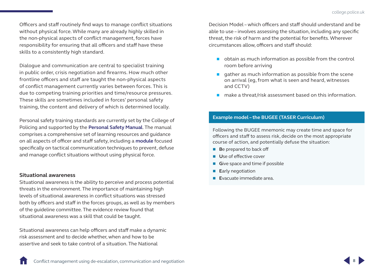<span id="page-10-0"></span>Officers and staff routinely find ways to manage conflict situations without physical force. While many are already highly skilled in the non-physical aspects of conflict management, forces have responsibility for ensuring that all officers and staff have these skills to a consistently high standard.

Dialogue and communication are central to specialist training in public order, crisis negotiation and firearms. How much other frontline officers and staff are taught the non-physical aspects of conflict management currently varies between forces. This is due to competing training priorities and time/resource pressures. These skills are sometimes included in forces' personal safety training, the content and delivery of which is determined locally.

Personal safety training standards are currently set by the College of Policing and supported by the **[Personal Safety Manual](https://www.mle.ncalt.pnn.police.uk/CourseContent/29495/PSM_MOD_01_INTRODUCTION.pdf)**. The manual comprises a comprehensive set of learning resources and guidance on all aspects of officer and staff safety, including a **[module](https://www.mle.ncalt.pnn.police.uk/CourseContent/29500/PSM_MOD_06_COMMUNICATION.pdf)** focused specifically on tactical communication techniques to prevent, defuse and manage conflict situations without using physical force.

#### **Situational awareness**

Situational awareness is the ability to perceive and process potential threats in the environment. The importance of maintaining high levels of situational awareness in conflict situations was stressed both by officers and staff in the forces groups, as well as by members of the guideline committee. The evidence review found that situational awareness was a skill that could be taught.

Situational awareness can help officers and staff make a dynamic risk assessment and to decide whether, when and how to be assertive and seek to take control of a situation. The National

Decision Model – which officers and staff should understand and be able to use – involves assessing the situation, including any specific threat, the risk of harm and the potential for benefits. Wherever circumstances allow, officers and staff should:

- obtain as much information as possible from the control room before arriving
- $\Box$  gather as much information as possible from the scene on arrival (eg, from what is seen and heard, witnesses and CCTV)
- **n** make a threat/risk assessment based on this information

#### **Example model – the BUGEE (TASER Curriculum)**

Following the BUGEE mnemonic may create time and space for officers and staff to assess risk, decide on the most appropriate course of action, and potentially defuse the situation:

- **B**e prepared to back off
- **U**se of effective cover
- **G**ive space and time if possible
- **E**arly negotiation
- **E**vacuate immediate area.

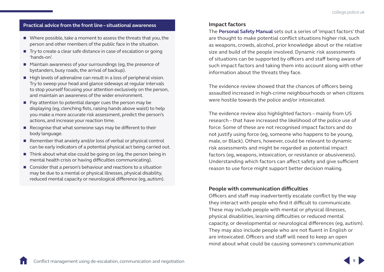#### <span id="page-11-0"></span>**Practical advice from the front line – situational awareness**

- Where possible, take a moment to assess the threats that you, the person and other members of the public face in the situation.
- Try to create a clear safe distance in case of escalation or going 'hands-on'.
- Maintain awareness of your surroundings (eg, the presence of bystanders, busy roads, the arrival of backup).
- $\blacksquare$  High levels of adrenaline can result in a loss of peripheral vision. Try to sweep your head and glance sideways at regular intervals to stop yourself focusing your attention exclusively on the person, and maintain an awareness of the wider environment.
- $\blacksquare$  Pay attention to potential danger cues the person may be displaying (eg, clenching fists, raising hands above waist) to help you make a more accurate risk assessment, predict the person's actions, and increase your reaction time.
- $\blacksquare$  Recognise that what someone says may be different to their body language.
- Remember that anxiety and/or loss of verbal or physical control can be early indicators of a potential physical act being carried out.
- $\blacksquare$  Think about what else could be going on (eg, the person being in mental health crisis or having difficulties communicating).
- Consider that a person's behaviour and reactions to a situation may be due to a mental or physical illnesses, physical disability, reduced mental capacity or neurological difference (eg, autism).

#### **Impact factors**

The **[Personal Safety Manual](https://www.mle.ncalt.pnn.police.uk/CourseContent/29500/PSM_MOD_06_COMMUNICATION.pdf)** sets out a series of 'impact factors' that are thought to make potential conflict situations higher risk, such as weapons, crowds, alcohol, prior knowledge about or the relative size and build of the people involved. Dynamic risk assessments of situations can be supported by officers and staff being aware of such impact factors and taking them into account along with other information about the threats they face.

The evidence review showed that the chances of officers being assaulted increased in high-crime neighbourhoods or when citizens were hostile towards the police and/or intoxicated.

The evidence review also highlighted factors – mainly from US research – that have increased the likelihood of the police use of force. Some of these are not recognised impact factors and do not justify using force (eg, someone who happens to be young, male, or Black). Others, however, could be relevant to dynamic risk assessments and might be regarded as potential impact factors (eg, weapons, intoxication, or resistance or abusiveness). Understanding which factors can affect safety and give sufficient reason to use force might support better decision making.

#### **People with communication difficulties**

Officers and staff may inadvertently escalate conflict by the way they interact with people who find it difficult to communicate. These may include people with mental or physical illnesses, physical disabilities, learning difficulties or reduced mental capacity, or developmental or neurological differences (eg, autism). They may also include people who are not fluent in English or are intoxicated. Officers and staff will need to keep an open mind about what could be causing someone's communication

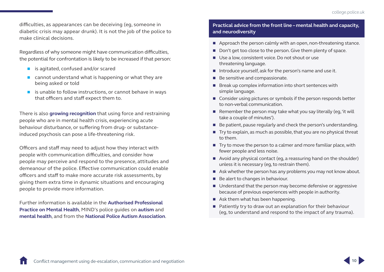difficulties, as appearances can be deceiving (eg, someone in diabetic crisis may appear drunk). It is not the job of the police to make clinical decisions.

Regardless of why someone might have communication difficulties, the potential for confrontation is likely to be increased if that person:

- $\blacksquare$  is agitated, confused and/or scared
- **E** cannot understand what is happening or what they are being asked or told
- $\blacksquare$  is unable to follow instructions, or cannot behave in ways that officers and staff expect them to.

There is also **[growing recognition](https://assets.publishing.service.gov.uk/government/uploads/system/uploads/attachment_data/file/655401/Report_of_Angiolini_Review_ISBN_Accessible.pdf)** that using force and restraining people who are in mental health crisis, experiencing acute behaviour disturbance, or suffering from drug- or substanceinduced psychosis can pose a life-threatening risk.

Officers and staff may need to adjust how they interact with people with communication difficulties, and consider how people may perceive and respond to the presence, attitudes and demeanour of the police. Effective communication could enable officers and staff to make more accurate risk assessments, by giving them extra time in dynamic situations and encouraging people to provide more information.

Further information is available in the **[Authorised Professional](https://www.app.college.police.uk/app-content/mental-health/mental-vulnerability-and-illness)  [Practice on Mental Health](https://www.app.college.police.uk/app-content/mental-health/mental-vulnerability-and-illness)**, MIND's police guides on **[autism](https://www.autism.org.uk/~/media/nas/documents/publications/autism-a-guide-for-police.ashx)** and **[mental health](https://www.mind.org.uk/media-a/2116/2013-12-03-mind_police_final_web.pdf)**, and from the **[National Police Autism Association](http://www.npaa.org.uk/)**.

#### **Practical advice from the front line – mental health and capacity, and neurodiversity**

- Approach the person calmly with an open, non-threatening stance.
- Don't get too close to the person. Give them plenty of space.
- Use a low, consistent voice. Do not shout or use threatening language.
- Introduce yourself, ask for the person's name and use it.
- Be sensitive and compassionate.
- $\blacksquare$  Break up complex information into short sentences with simple language.
- Consider using pictures or symbols if the person responds better to non-verbal communication.
- Remember the person may take what you say literally (eq. 'it will take a couple of minutes').
- Be patient, pause regularly and check the person's understanding.
- $\blacksquare$  Try to explain, as much as possible, that you are no physical threat to them.
- $\blacksquare$  Try to move the person to a calmer and more familiar place, with fewer people and less noise.
- Avoid any physical contact (eg. a reassuring hand on the shoulder) unless it is necessary (eg, to restrain them).
- Ask whether the person has any problems you may not know about.
- $\blacksquare$  Be alert to changes in behaviour.
- Understand that the person may become defensive or aggressive because of previous experiences with people in authority.
- Ask them what has been happening.
- Patiently try to draw out an explanation for their behaviour (eg, to understand and respond to the impact of any trauma).

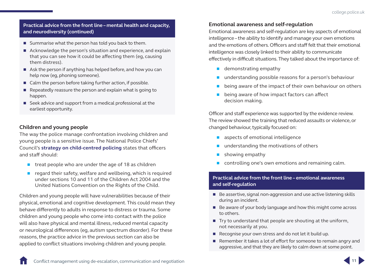#### <span id="page-13-0"></span>**Practical advice from the front line – mental health and capacity, and neurodiversity (continued)**

- Summarise what the person has told you back to them.
- Acknowledge the person's situation and experience, and explain that you can see how it could be affecting them (eg, causing them distress).
- Ask the person if anything has helped before, and how you can help now (eg, phoning someone).
- Calm the person before taking further action, if possible.
- $\blacksquare$  Repeatedly reassure the person and explain what is going to happen.
- Seek advice and support from a medical professional at the earliest opportunity.

### **Children and young people**

The way the police manage confrontation involving children and young people is a sensitive issue. The National Police Chiefs' Council's **[strategy on child-centred policing](https://www.npcc.police.uk/documents/edhr/2015/CYP Strategy 2015 2017 August 2015.pdf)** states that officers and staff should:

- $\blacksquare$  treat people who are under the age of 18 as children
- regard their safety, welfare and wellbeing, which is required under sections 10 and 11 of the Children Act 2004 and the United Nations Convention on the Rights of the Child.

Children and young people will have vulnerabilities because of their physical, emotional and cognitive development. This could mean they behave differently to adults in response to distress or trauma. Some children and young people who come into contact with the police will also have physical and mental illness, reduced mental capacity or neurological differences (eg, autism spectrum disorder). For these reasons, the practice advice in the previous section can also be applied to conflict situations involving children and young people.

### **Emotional awareness and self-regulation**

Emotional awareness and self-regulation are key aspects of emotional intelligence – the ability to identify and manage your own emotions and the emotions of others. Officers and staff felt that their emotional intelligence was closely linked to their ability to communicate effectively in difficult situations. They talked about the importance of:

- **demonstrating empathy**
- understanding possible reasons for a person's behaviour
- being aware of the impact of their own behaviour on others
- being aware of how impact factors can affect decision making.

Officer and staff experience was supported by the evidence review. The review showed the training that reduced assaults or violence, or changed behaviour, typically focused on:

- aspects of emotional intelligence
- **understanding the motivations of others**
- $\blacksquare$  showing empathy
- controlling one's own emotions and remaining calm.

#### **Practical advice from the front line – emotional awareness and self-regulation**

- $\blacksquare$  Be assertive, signal non-aggression and use active listening skills during an incident.
- Be aware of your body language and how this might come across to others.
- $\blacksquare$  Try to understand that people are shouting at the uniform, not necessarily at you.
- Recognise your own stress and do not let it build up.
- Remember it takes a lot of effort for someone to remain angry and aggressive, and that they are likely to calm down at some point.

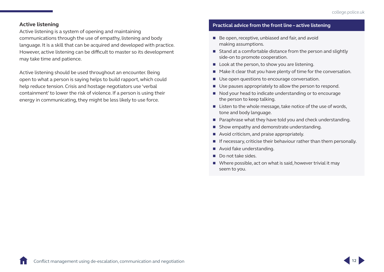#### <span id="page-14-0"></span>**Active listening**

Active listening is a system of opening and maintaining communications through the use of empathy, listening and body language. It is a skill that can be acquired and developed with practice. However, active listening can be difficult to master so its development may take time and patience.

Active listening should be used throughout an encounter. Being open to what a person is saying helps to build rapport, which could help reduce tension. Crisis and hostage negotiators use 'verbal containment' to lower the risk of violence. If a person is using their energy in communicating, they might be less likely to use force.

#### **Practical advice from the front line – active listening**

- Be open, receptive, unbiased and fair, and avoid making assumptions.
- Stand at a comfortable distance from the person and slightly side-on to promote cooperation.
- Look at the person, to show you are listening.
- $\blacksquare$  Make it clear that you have plenty of time for the conversation.
- Use open questions to encourage conversation.
- Use pauses appropriately to allow the person to respond.
- Nod your head to indicate understanding or to encourage the person to keep talking.
- $\blacksquare$  Listen to the whole message, take notice of the use of words, tone and body language.
- Paraphrase what they have told you and check understanding.
- Show empathy and demonstrate understanding.
- Avoid criticism, and praise appropriately.
- $\blacksquare$  If necessary, criticise their behaviour rather than them personally.
- Avoid fake understanding.
- Do not take sides.
- Where possible, act on what is said, however trivial it may seem to you.

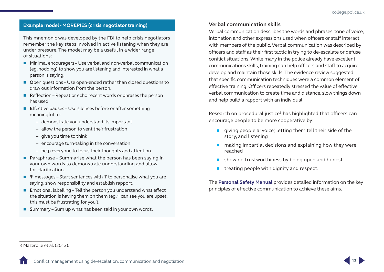#### <span id="page-15-0"></span>**Example model - MOREPIES (crisis negotiator training)**

This mnemonic was developed by the FBI to help crisis negotiators remember the key steps involved in active listening when they are under pressure. The model may be a useful in a wider range of situations:

- Minimal encouragers Use verbal and non-verbal communication (eg, nodding) to show you are listening and interested in what a person is saying.
- Open questions Use open-ended rather than closed questions to draw out information from the person.
- **R**eflection Repeat or echo recent words or phrases the person has used.
- **Effective pauses Use silences before or after something** meaningful to:
	- demonstrate you understand its important
	- allow the person to vent their frustration
	- give you time to think
	- encourage turn-taking in the conversation
	- help everyone to focus their thoughts and attention.
- **P**araphrase Summarise what the person has been saying in your own words to demonstrate understanding and allow for clarification.
- 'I' messages Start sentences with 'I' to personalise what you are saying, show responsibility and establish rapport.
- **E**motional labelling Tell the person you understand what effect the situation is having them on them (eg, 'I can see you are upset, this must be frustrating for you').
- **Summary Sum up what has been said in your own words.**

#### **Verbal communication skills**

Verbal communication describes the words and phrases, tone of voice, intonation and other expressions used when officers or staff interact with members of the public. Verbal communication was described by officers and staff as their first tactic in trying to de-escalate or defuse conflict situations. While many in the police already have excellent communications skills, training can help officers and staff to acquire, develop and maintain those skills. The evidence review suggested that specific communication techniques were a common element of effective training. Officers repeatedly stressed the value of effective verbal communication to create time and distance, slow things down and help build a rapport with an individual.

Research on procedural justice<sup>3</sup> has highlighted that officers can encourage people to be more cooperative by:

- qiving people a 'voice', letting them tell their side of the story, and listening
- $\blacksquare$  making impartial decisions and explaining how they were reached
- showing trustworthiness by being open and honest
- $\blacksquare$  treating people with dignity and respect.

The **[Personal Safety Manual](https://www.mle.ncalt.pnn.police.uk/CourseContent/29500/PSM_MOD_06_COMMUNICATION.pdf)** provides detailed information on the key principles of effective communication to achieve these aims.



<sup>3</sup> Mazerolle et al. (2013).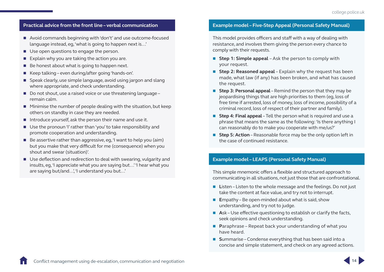#### **Practical advice from the front line – verbal communication**

- Avoid commands beginning with 'don't' and use outcome-focused language instead, eg, 'what is going to happen next is…'
- Use open questions to engage the person.
- $\blacksquare$  Explain why you are taking the action you are.
- $\blacksquare$  Be honest about what is going to happen next.
- Keep talking even during/after going 'hands-on'.
- Speak clearly, use simple language, avoid using jargon and slang where appropriate, and check understanding.
- Do not shout, use a raised voice or use threatening language remain calm.
- $\blacksquare$  Minimise the number of people dealing with the situation, but keep others on standby in case they are needed.
- Introduce vourself, ask the person their name and use it.
- Use the pronoun 'I' rather than 'you' to take responsibility and promote cooperation and understanding.
- $\blacksquare$  Be assertive rather than aggressive, eg, 'I want to help you (aim) but you make that very difficult for me (consequence) when you shout and swear (situation)'.
- Use deflection and redirection to deal with swearing, vulgarity and insults, eg, 'I appreciate what you are saying but…' 'I hear what you are saying but/and…', 'I understand you but…'

#### **Example model – Five-Step Appeal (Personal Safety Manual)**

This model provides officers and staff with a way of dealing with resistance, and involves them giving the person every chance to comply with their requests.

- Step 1: Simple appeal Ask the person to comply with your request.
- Step 2: Reasoned appeal Explain why the request has been made, what law (if any) has been broken, and what has caused the request.
- **Step 3: Personal appeal** Remind the person that they may be jeopardising things that are high priorities to them (eg, loss of free time if arrested, loss of money, loss of income, possibility of a criminal record, loss of respect of their partner and family).
- **Step 4: Final appeal** Tell the person what is required and use a phrase that means the same as the following: 'Is there anything I can reasonably do to make you cooperate with me/us?'
- **Step 5: Action** Reasonable force may be the only option left in the case of continued resistance.

#### **Example model – LEAPS (Personal Safety Manual)**

This simple mnemonic offers a flexible and structured approach to communicating in all situations, not just those that are confrontational.

- Listen Listen to the whole message and the feelings. Do not just take the content at face value, and try not to interrupt.
- Empathy Be open-minded about what is said, show understanding, and try not to judge.
- **Ask Use effective questioning to establish or clarify the facts,** seek opinions and check understanding.
- **P**araphrase Repeat back your understanding of what you have heard.
- **Summarise** Condense everything that has been said into a concise and simple statement, and check on any agreed actions.

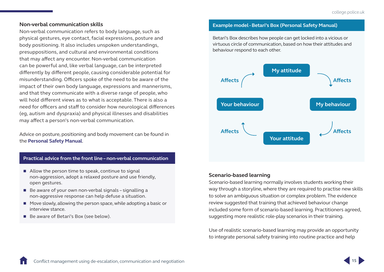#### <span id="page-17-0"></span>**Non-verbal communication skills**

Non-verbal communication refers to body language, such as physical gestures, eye contact, facial expressions, posture and body positioning. It also includes unspoken understandings, presuppositions, and cultural and environmental conditions that may affect any encounter. Non-verbal communication can be powerful and, like verbal language, can be interpreted differently by different people, causing considerable potential for misunderstanding. Officers spoke of the need to be aware of the impact of their own body language, expressions and mannerisms, and that they communicate with a diverse range of people, who will hold different views as to what is acceptable. There is also a need for officers and staff to consider how neurological differences (eg, autism and dyspraxia) and physical illnesses and disabilities may affect a person's non-verbal communication.

Advice on posture, positioning and body movement can be found in the **[Personal Safety Manual](https://www.mle.ncalt.pnn.police.uk/CourseContent/29500/PSM_MOD_06_COMMUNICATION.pdf)**.

#### **Practical advice from the front line – non-verbal communication**

- Allow the person time to speak, continue to signal non-aggression, adopt a relaxed posture and use friendly, open gestures.
- $\blacksquare$  Be aware of your own non-verbal signals signalling a non-aggressive response can help defuse a situation.
- $\blacksquare$  Move slowly, allowing the person space, while adopting a basic or interview stance.
- Be aware of Betari's Box (see below).

#### **Example model - Betari's Box (Personal Safety Manual)**

Betari's Box describes how people can get locked into a vicious or virtuous circle of communication, based on how their attitudes and behaviour respond to each other.



#### **Scenario-based learning**

Scenario-based learning normally involves students working their way through a storyline, where they are required to practise new skills to solve an ambiguous situation or complex problem. The evidence review suggested that training that achieved behaviour change included some form of scenario-based learning. Practitioners agreed, suggesting more realistic role-play scenarios in their training.

Use of realistic scenario-based learning may provide an opportunity to integrate personal safety training into routine practice and help

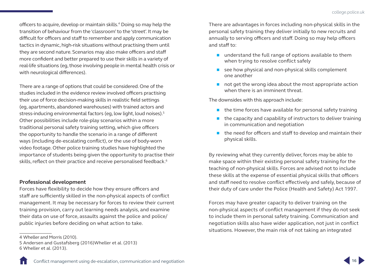<span id="page-18-0"></span>officers to acquire, develop or maintain skills.4 Doing so may help the transition of behaviour from the 'classroom' to the 'street'. It may be difficult for officers and staff to remember and apply communication tactics in dynamic, high-risk situations without practising them until they are second nature. Scenarios may also make officers and staff more confident and better prepared to use their skills in a variety of real-life situations (eg, those involving people in mental health crisis or with neurological differences).

There are a range of options that could be considered. One of the studies included in the evidence review involved officers practising their use of force decision-making skills in realistic field settings (eg, apartments, abandoned warehouses) with trained actors and stress-inducing environmental factors (eg, low light, loud noises).<sup>5</sup> Other possibilities include role-play scenarios within a more traditional personal safety training setting, which give officers the opportunity to handle the scenario in a range of different ways (including de-escalating conflict), or the use of body-worn video footage. Other police training studies have highlighted the importance of students being given the opportunity to practise their skills, reflect on their practice and receive personalised feedback.<sup>6</sup>

#### **Professional development**

Forces have flexibility to decide how they ensure officers and staff are sufficiently skilled in the non-physical aspects of conflict management. It may be necessary for forces to review their current training provision, carry out learning needs analysis, and examine their data on use of force, assaults against the police and police/ public injuries before deciding on what action to take.

There are advantages in forces including non-physical skills in the personal safety training they deliver initially to new recruits and annually to serving officers and staff. Doing so may help officers and staff to:

- understand the full range of options available to them when trying to resolve conflict safely
- see how physical and non-physical skills complement one another
- $\blacksquare$  not get the wrong idea about the most appropriate action when there is an imminent threat.

The downsides with this approach include:

- $\blacksquare$  the time forces have available for personal safety training
- $\blacksquare$  the capacity and capability of instructors to deliver training in communication and negotiation
- $\blacksquare$  the need for officers and staff to develop and maintain their physical skills.

By reviewing what they currently deliver, forces may be able to make space within their existing personal safety training for the teaching of non-physical skills. Forces are advised not to include these skills at the expense of essential physical skills that officers and staff need to resolve conflict effectively and safely, because of their duty of care under the Police (Health and Safety) Act 1997.

Forces may have greater capacity to deliver training on the non-physical aspects of conflict management if they do not seek to include them in personal safety training. Communication and negotiation skills also have wider application, not just in conflict situations. However, the main risk of not taking an integrated



<sup>4</sup> Wheller and Morris (2010).

<sup>5</sup> Andersen and Gustafsberg (2016)Wheller et al. (2013) 6 Wheller et al. (2013).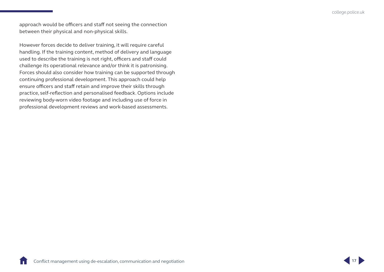approach would be officers and staff not seeing the connection between their physical and non-physical skills.

However forces decide to deliver training, it will require careful handling. If the training content, method of delivery and language used to describe the training is not right, officers and staff could challenge its operational relevance and/or think it is patronising. Forces should also consider how training can be supported through continuing professional development. This approach could help ensure officers and staff retain and improve their skills through practice, self-reflection and personalised feedback. Options include reviewing body-worn video footage and including use of force in professional development reviews and work-based assessments.

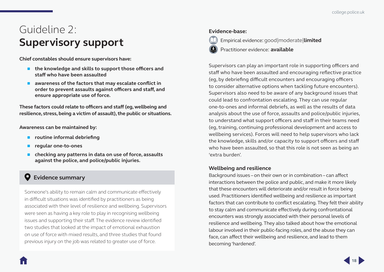# <span id="page-20-1"></span><span id="page-20-0"></span>Guideline 2: **Supervisory support**

**Chief constables should ensure supervisors have:**

- the knowledge and skills to support those officers and **staff who have been assaulted**
- awareness of the factors that may escalate conflict in **order to prevent assaults against officers and staff, and ensure appropriate use of force.**

**These factors could relate to officers and staff (eg, wellbeing and resilience, stress, being a victim of assault), the public or situations.**

**Awareness can be maintained by:**

- **F** routine informal debriefing
- **regular one-to-ones**
- **checking any patterns in data on use of force, assaults against the police, and police/public injuries.**

## **Evidence summary**

Someone's ability to remain calm and communicate effectively in difficult situations was identified by practitioners as being associated with their level of resilience and wellbeing. Supervisors were seen as having a key role to play in recognising wellbeing issues and supporting their staff. The evidence review identified two studies that looked at the impact of emotional exhaustion on use of force with mixed results, and three studies that found previous injury on the job was related to greater use of force.

#### **Evidence-base:**



Empirical evidence: good|moderate|**limited**

Practitioner evidence: **available**

Supervisors can play an important role in supporting officers and staff who have been assaulted and encouraging reflective practice (eg, by debriefing difficult encounters and encouraging officers to consider alternative options when tackling future encounters). Supervisors also need to be aware of any background issues that could lead to confrontation escalating. They can use regular one-to-ones and informal debriefs, as well as the results of data analysis about the use of force, assaults and police/public injuries, to understand what support officers and staff in their teams need (eg, training, continuing professional development and access to wellbeing services). Forces will need to help supervisors who lack the knowledge, skills and/or capacity to support officers and staff who have been assaulted, so that this role is not seen as being an 'extra burden'.

### **Wellbeing and resilience**

Background issues – on their own or in combination – can affect interactions between the police and public, and make it more likely that these encounters will deteriorate and/or result in force being used. Practitioners identified wellbeing and resilience as important factors that can contribute to conflict escalating. They felt their ability to stay calm and communicate effectively during confrontational encounters was strongly associated with their personal levels of resilience and wellbeing. They also talked about how the emotional labour involved in their public-facing roles, and the abuse they can face, can affect their wellbeing and resilience, and lead to them becoming 'hardened'.

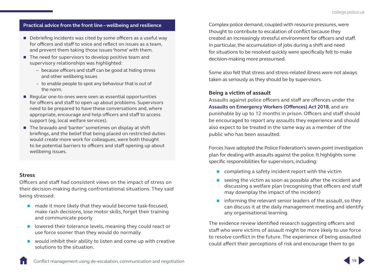#### <span id="page-21-0"></span>**Practical advice from the front line – wellbeing and resilience**

- Debriefing incidents was cited by some officers as a useful way for officers and staff to voice and reflect on issues as a team, and prevent them taking those issues 'home' with them.
- $\blacksquare$  The need for supervisors to develop positive team and supervisory relationships was highlighted:
	- because officers and staff can be good at hiding stress and other wellbeing issues
	- to enable people to spot any behaviour that is out of the norm.
- Regular one-to-ones were seen as essential opportunities for officers and staff to open up about problems. Supervisors need to be prepared to have these conversations and, where appropriate, encourage and help officers and staff to access support (eg, local welfare services).
- The bravado and 'banter' sometimes on display at shift briefings, and the belief that being placed on restricted duties would create more work for colleagues, were both thought to be potential barriers to officers and staff opening up about wellbeing issues.

#### **Stress**

Officers and staff had consistent views on the impact of stress on their decision-making during confrontational situations. They said being stressed:

- $\blacksquare$  made it more likely that they would become task-focused, make rash decisions, lose motor skills, forget their training and communicate poorly
- lowered their tolerance levels, meaning they could react or use force sooner than they would do normally
- would inhibit their ability to listen and come up with creative solutions to the situation.

Complex police demand, coupled with resource pressures, were thought to contribute to escalation of conflict because they created an increasingly stressful environment for officers and staff. In particular, the accumulation of jobs during a shift and need for situations to be resolved quickly were specifically felt to make decision-making more pressurised.

Some also felt that stress and stress-related illness were not always taken as seriously as they should be by supervisors.

#### **Being a victim of assault**

Assaults against police officers and staff are offences under the **[Assaults on Emergency Workers \(Offences\) Act 2018](https://assets.publishing.service.gov.uk/government/uploads/system/uploads/attachment_data/file/755660/annex-a-assaults-on-emergency-workers-act-circular-2018-01.pdf)**, and are punishable by up to 12 months in prison. Officers and staff should be encouraged to report any assaults they experience and should also expect to be treated in the same way as a member of the public who has been assaulted.

Forces have adopted the Police Federation's seven-point investigation plan for dealing with assaults against the police. It highlights some specific responsibilities for supervisors, including:

- **Completing a safety incident report with the victim**
- seeing the victim as soon as possible after the incident and discussing a welfare plan (recognising that officers and staff may downplay the impact of the incident)
- $\blacksquare$  informing the relevant senior leaders of the assault, so they can discuss it at the daily management meeting and identify any organisational learning.

The evidence review identified research suggesting officers and staff who were victims of assault might be more likely to use force to resolve conflict in the future. The experience of being assaulted could affect their perceptions of risk and encourage them to go

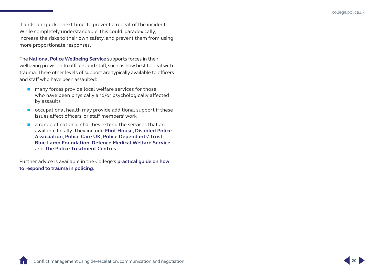'hands-on' quicker next time, to prevent a repeat of the incident. While completely understandable, this could, paradoxically, increase the risks to their own safety, and prevent them from using more proportionate responses.

The **[National Police Wellbeing Service](https://oscarkilo.org.uk/)** supports forces in their wellbeing provision to officers and staff, such as how best to deal with trauma. Three other levels of support are typically available to officers and staff who have been assaulted:

- $\blacksquare$  many forces provide local welfare services for those who have been physically and/or psychologically affected by assaults
- occupational health may provide additional support if these issues affect officers' or staff members' work
- $\blacksquare$  a range of national charities extend the services that are available locally. They include **[Flint House](https://www.flinthouse.co.uk/)**, **[Disabled Police](http://www.disabledpolice.info/)  [Association](http://www.disabledpolice.info/)**, **[Police Care UK](https://www.policecare.org.uk/)**, **[Police Dependants' Trust](https://www.pdtrust.org/)**, **[Blue Lamp Foundation](http://www.bluelampfoundation.org/)**, **[Defence Medical Welfare Service](https://dmws.org.uk/our-service/who-we-support/)** and **[The Police Treatment Centres](http://www.thepolicetreatmentcentres.org/)** .

Further advice is available in the College's **[practical guide on how](https://www.college.police.uk/What-we-do/Support/Health-safety/Documents/Responding-to-trauma-in-policing.pdf)  [to respond to trauma in policing](https://www.college.police.uk/What-we-do/Support/Health-safety/Documents/Responding-to-trauma-in-policing.pdf)**.

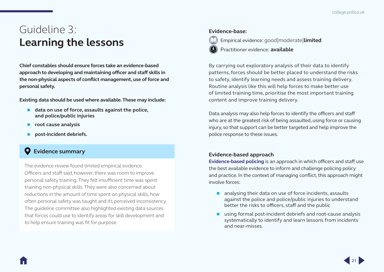# <span id="page-23-1"></span><span id="page-23-0"></span>Guideline 3: **Learning the lessons**

**Chief constables should ensure forces take an evidence-based approach to developing and maintaining officer and staff skills in the non-physical aspects of conflict management, use of force and personal safety.**

**Existing data should be used where available. These may include:**

- data on use of force, assaults against the police, **and police/public injuries**
- **root cause analysis**
- **post-incident debriefs.**

## **Evidence summary**

The evidence review found limited empirical evidence. Officers and staff said, however, there was room to improve personal safety training. They felt insufficient time was spent training non-physical skills. They were also concerned about reductions in the amount of time spent on physical skills, how often personal safety was taught and its perceived inconsistency. The quideline committee also highlighted existing data sources that forces could use to identify areas for skill development and to help ensure training was fit for purpose.

#### **Evidence-base:**



Empirical evidence: good|moderate|**limited**

Practitioner evidence: **available**

By carrying out exploratory analysis of their data to identify patterns, forces should be better placed to understand the risks to safety, identify learning needs and assess training delivery. Routine analysis like this will help forces to make better use of limited training time, prioritise the most important training content and improve training delivery.

Data analysis may also help forces to identify the officers and staff who are at the greatest risk of being assaulted, using force or causing injury, so that support can be better targeted and help improve the police response to these issues.

### **Evidence-based approach**

**[Evidence-based policing](https://whatworks.college.police.uk/About/Pages/What-is-EBP.aspx)** is an approach in which officers and staff use the best available evidence to inform and challenge policing policy and practice. In the context of managing conflict, this approach might involve forces:

- $\blacksquare$  analysing their data on use of force incidents, assaults against the police and police/public injuries to understand better the risks to officers, staff and the public
- using formal post-incident debriefs and root-cause analysis systematically to identify and learn lessons from incidents and near-misses.

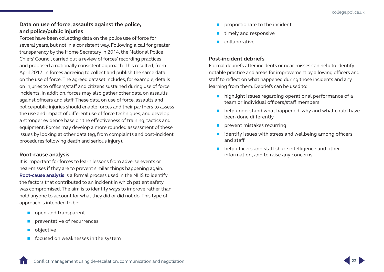### <span id="page-24-0"></span>**Data on use of force, assaults against the police, and police/public injuries**

Forces have been collecting data on the police use of force for several years, but not in a consistent way. Following a call for greater transparency by the Home Secretary in 2014, the National Police Chiefs' Council carried out a review of forces' recording practices and proposed a nationally consistent approach. This resulted, from April 2017, in forces agreeing to collect and publish the same data on the use of force. The agreed dataset includes, for example, details on injuries to officers/staff and citizens sustained during use of force incidents. In addition, forces may also gather other data on assaults against officers and staff. These data on use of force, assaults and police/public injuries should enable forces and their partners to assess the use and impact of different use of force techniques, and develop a stronger evidence base on the effectiveness of training, tactics and equipment. Forces may develop a more rounded assessment of these issues by looking at other data (eg, from complaints and post-incident procedures following death and serious injury).

#### **Root-cause analysis**

It is important for forces to learn lessons from adverse events or near-misses if they are to prevent similar things happening again. **[Root-cause analysis](https://www.england.nhs.uk/wp-content/uploads/2015/04/serious-incidnt-framwrk-upd.pdf)** is a formal process used in the NHS to identify the factors that contributed to an incident in which patient safety was compromised. The aim is to identify ways to improve rather than hold anyone to account for what they did or did not do. This type of approach is intended to be:

- open and transparent
- **Paragele Preventative of recurrences**
- objective
- $\blacksquare$  focused on weaknesses in the system
- proportionate to the incident
- timely and responsive
- collaborative.

#### **Post-incident debriefs**

Formal debriefs after incidents or near-misses can help to identify notable practice and areas for improvement by allowing officers and staff to reflect on what happened during those incidents and any learning from them. Debriefs can be used to:

- $\blacksquare$  highlight issues regarding operational performance of a team or individual officers/staff members
- $\blacksquare$  help understand what happened, why and what could have been done differently
- $\blacksquare$  prevent mistakes recurring
- $\blacksquare$  identify issues with stress and wellbeing among officers and staff
- **help officers and staff share intelligence and other** information, and to raise any concerns.

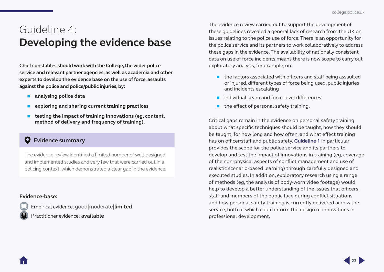# <span id="page-25-1"></span><span id="page-25-0"></span>Guideline 4: **Developing the evidence base**

**Chief constables should work with the College, the wider police service and relevant partner agencies, as well as academia and other experts to develop the evidence base on the use of force, assaults against the police and police/public injuries, by:**

- **analysing police data**
- **exploring and sharing current training practices**
- **testing the impact of training innovations (eg, content, method of delivery and frequency of training).**

### **Evidence summary**

The evidence review identified a limited number of well-designed and implemented studies and very few that were carried out in a policing context, which demonstrated a clear gap in the evidence.

#### **Evidence-base:**

Empirical evidence: good|moderate|**limited** Practitioner evidence: **available**

The evidence review carried out to support the development of these guidelines revealed a general lack of research from the UK on issues relating to the police use of force. There is an opportunity for the police service and its partners to work collaboratively to address these gaps in the evidence. The availability of nationally consistent data on use of force incidents means there is now scope to carry out exploratory analysis, for example, on:

- **the factors associated with officers and staff being assaulted** or injured, different types of force being used, public injuries and incidents escalating
- $\blacksquare$  individual, team and force-level differences
- $\blacksquare$  the effect of personal safety training.

Critical gaps remain in the evidence on personal safety training about what specific techniques should be taught, how they should be taught, for how long and how often, and what effect training has on officer/staff and public safety. **[Guideline 1](#page-9-0)** in particular provides the scope for the police service and its partners to develop and test the impact of innovations in training (eg, coverage of the non-physical aspects of conflict management and use of realistic scenario-based learning) through carefully designed and executed studies. In addition, exploratory research using a range of methods (eg, the analysis of body-worn video footage) would help to develop a better understanding of the issues that officers, staff and members of the public face during conflict situations and how personal safety training is currently delivered across the service, both of which could inform the design of innovations in professional development.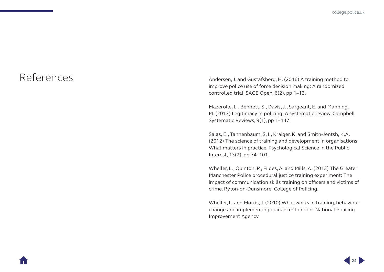<span id="page-26-0"></span>References Andersen, J. and Gustafsberg, H. (2016) A training method to improve police use of force decision making: A randomized controlled trial. SAGE Open, 6(2), pp 1–13.

> Mazerolle, L., Bennett, S., Davis, J., Sargeant, E. and Manning, M. (2013) Legitimacy in policing: A systematic review. Campbell Systematic Reviews, 9(1), pp 1–147.

Salas, E., Tannenbaum, S. I., Kraiger, K. and Smith-Jentsh, K.A. (2012) The science of training and development in organisations: What matters in practice. Psychological Science in the Public Interest, 13(2), pp 74–101.

Wheller, L., Quinton, P., Fildes, A. and Mills, A. (2013) The Greater Manchester Police procedural justice training experiment: The impact of communication skills training on officers and victims of crime. Ryton-on-Dunsmore: College of Policing.

Wheller, L. and Morris, J. (2010) What works in training, behaviour change and implementing guidance? London: National Policing Improvement Agency.